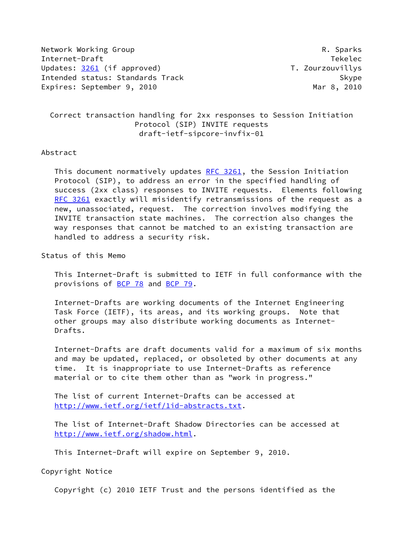Network Working Group **R. Sparks** Internet-Draft Tekelec Updates: [3261](https://datatracker.ietf.org/doc/pdf/rfc3261) (if approved) T. Zourzouvillys Intended status: Standards Track Skype Expires: September 9, 2010 and the contract of the Mar 8, 2010 and Mar 8, 2010

 Correct transaction handling for 2xx responses to Session Initiation Protocol (SIP) INVITE requests draft-ietf-sipcore-invfix-01

## Abstract

This document normatively updates [RFC 3261](https://datatracker.ietf.org/doc/pdf/rfc3261), the Session Initiation Protocol (SIP), to address an error in the specified handling of success (2xx class) responses to INVITE requests. Elements following [RFC 3261](https://datatracker.ietf.org/doc/pdf/rfc3261) exactly will misidentify retransmissions of the request as a new, unassociated, request. The correction involves modifying the INVITE transaction state machines. The correction also changes the way responses that cannot be matched to an existing transaction are handled to address a security risk.

Status of this Memo

 This Internet-Draft is submitted to IETF in full conformance with the provisions of [BCP 78](https://datatracker.ietf.org/doc/pdf/bcp78) and [BCP 79](https://datatracker.ietf.org/doc/pdf/bcp79).

 Internet-Drafts are working documents of the Internet Engineering Task Force (IETF), its areas, and its working groups. Note that other groups may also distribute working documents as Internet- Drafts.

 Internet-Drafts are draft documents valid for a maximum of six months and may be updated, replaced, or obsoleted by other documents at any time. It is inappropriate to use Internet-Drafts as reference material or to cite them other than as "work in progress."

 The list of current Internet-Drafts can be accessed at <http://www.ietf.org/ietf/1id-abstracts.txt>.

 The list of Internet-Draft Shadow Directories can be accessed at <http://www.ietf.org/shadow.html>.

This Internet-Draft will expire on September 9, 2010.

Copyright Notice

Copyright (c) 2010 IETF Trust and the persons identified as the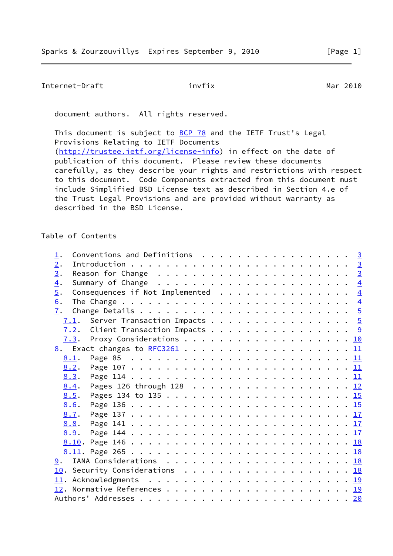```
Internet-Draft invfix invfix Mar 2010
```
document authors. All rights reserved.

This document is subject to [BCP 78](https://datatracker.ietf.org/doc/pdf/bcp78) and the IETF Trust's Legal Provisions Relating to IETF Documents [\(http://trustee.ietf.org/license-info](http://trustee.ietf.org/license-info)) in effect on the date of publication of this document. Please review these documents carefully, as they describe your rights and restrictions with respect to this document. Code Components extracted from this document must include Simplified BSD License text as described in Section 4.e of the Trust Legal Provisions and are provided without warranty as described in the BSD License.

Table of Contents

| $\mathbf 1$ .    | Conventions and Definitions $\cdots$ 3                               |  |  |  |  |
|------------------|----------------------------------------------------------------------|--|--|--|--|
| 2.               |                                                                      |  |  |  |  |
| 3.               |                                                                      |  |  |  |  |
| 4.               |                                                                      |  |  |  |  |
| $\overline{5}$ . | Consequences if Not Implemented $\ldots \ldots \ldots \ldots \ldots$ |  |  |  |  |
| 6.               |                                                                      |  |  |  |  |
| 7.               |                                                                      |  |  |  |  |
|                  | $\underline{7.1}$ . Server Transaction Impacts 5                     |  |  |  |  |
|                  | <u>7.2</u> . Client Transaction Impacts 9                            |  |  |  |  |
|                  |                                                                      |  |  |  |  |
|                  | 8. Exact changes to RFC3261 11                                       |  |  |  |  |
| 8.1.             |                                                                      |  |  |  |  |
| 8.2.             |                                                                      |  |  |  |  |
|                  |                                                                      |  |  |  |  |
| 8.4.             | Pages 126 through 128 12                                             |  |  |  |  |
| 8.5.             |                                                                      |  |  |  |  |
| 8.6.             |                                                                      |  |  |  |  |
| 8.7.             |                                                                      |  |  |  |  |
|                  |                                                                      |  |  |  |  |
|                  |                                                                      |  |  |  |  |
|                  |                                                                      |  |  |  |  |
|                  |                                                                      |  |  |  |  |
|                  |                                                                      |  |  |  |  |
|                  | 10. Security Considerations 18                                       |  |  |  |  |
|                  |                                                                      |  |  |  |  |
|                  |                                                                      |  |  |  |  |
|                  |                                                                      |  |  |  |  |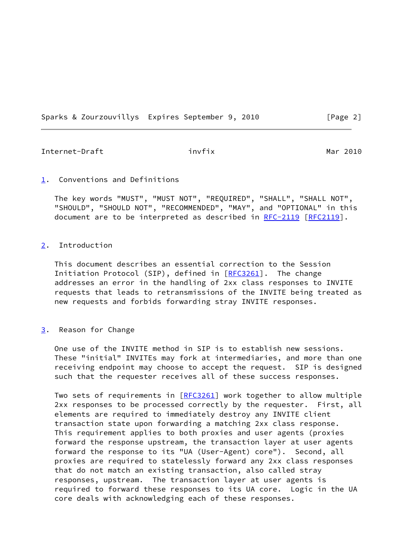Sparks & Zourzouvillys Expires September 9, 2010 [Page 2]

<span id="page-2-1"></span>Internet-Draft invfix invfix Mar 2010

### <span id="page-2-0"></span>[1](#page-2-0). Conventions and Definitions

 The key words "MUST", "MUST NOT", "REQUIRED", "SHALL", "SHALL NOT", "SHOULD", "SHOULD NOT", "RECOMMENDED", "MAY", and "OPTIONAL" in this document are to be interpreted as described in [RFC-2119 \[RFC2119](https://datatracker.ietf.org/doc/pdf/rfc2119)].

# <span id="page-2-2"></span>[2](#page-2-2). Introduction

 This document describes an essential correction to the Session Initiation Protocol (SIP), defined in [[RFC3261](https://datatracker.ietf.org/doc/pdf/rfc3261)]. The change addresses an error in the handling of 2xx class responses to INVITE requests that leads to retransmissions of the INVITE being treated as new requests and forbids forwarding stray INVITE responses.

#### <span id="page-2-3"></span>[3](#page-2-3). Reason for Change

 One use of the INVITE method in SIP is to establish new sessions. These "initial" INVITEs may fork at intermediaries, and more than one receiving endpoint may choose to accept the request. SIP is designed such that the requester receives all of these success responses.

Two sets of requirements in [\[RFC3261](https://datatracker.ietf.org/doc/pdf/rfc3261)] work together to allow multiple 2xx responses to be processed correctly by the requester. First, all elements are required to immediately destroy any INVITE client transaction state upon forwarding a matching 2xx class response. This requirement applies to both proxies and user agents (proxies forward the response upstream, the transaction layer at user agents forward the response to its "UA (User-Agent) core"). Second, all proxies are required to statelessly forward any 2xx class responses that do not match an existing transaction, also called stray responses, upstream. The transaction layer at user agents is required to forward these responses to its UA core. Logic in the UA core deals with acknowledging each of these responses.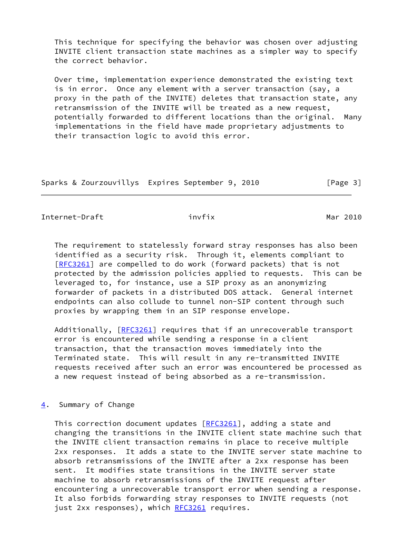This technique for specifying the behavior was chosen over adjusting INVITE client transaction state machines as a simpler way to specify the correct behavior.

 Over time, implementation experience demonstrated the existing text is in error. Once any element with a server transaction (say, a proxy in the path of the INVITE) deletes that transaction state, any retransmission of the INVITE will be treated as a new request, potentially forwarded to different locations than the original. Many implementations in the field have made proprietary adjustments to their transaction logic to avoid this error.

Sparks & Zourzouvillys Expires September 9, 2010 [Page 3]

<span id="page-3-1"></span>Internet-Draft invfix invfix Mar 2010

 The requirement to statelessly forward stray responses has also been identified as a security risk. Through it, elements compliant to [\[RFC3261](https://datatracker.ietf.org/doc/pdf/rfc3261)] are compelled to do work (forward packets) that is not protected by the admission policies applied to requests. This can be leveraged to, for instance, use a SIP proxy as an anonymizing forwarder of packets in a distributed DOS attack. General internet endpoints can also collude to tunnel non-SIP content through such proxies by wrapping them in an SIP response envelope.

Additionally, [[RFC3261](https://datatracker.ietf.org/doc/pdf/rfc3261)] requires that if an unrecoverable transport error is encountered while sending a response in a client transaction, that the transaction moves immediately into the Terminated state. This will result in any re-transmitted INVITE requests received after such an error was encountered be processed as a new request instead of being absorbed as a re-transmission.

# <span id="page-3-0"></span>[4](#page-3-0). Summary of Change

This correction document updates [\[RFC3261](https://datatracker.ietf.org/doc/pdf/rfc3261)], adding a state and changing the transitions in the INVITE client state machine such that the INVITE client transaction remains in place to receive multiple 2xx responses. It adds a state to the INVITE server state machine to absorb retransmissions of the INVITE after a 2xx response has been sent. It modifies state transitions in the INVITE server state machine to absorb retransmissions of the INVITE request after encountering a unrecoverable transport error when sending a response. It also forbids forwarding stray responses to INVITE requests (not just 2xx responses), which [RFC3261](https://datatracker.ietf.org/doc/pdf/rfc3261) requires.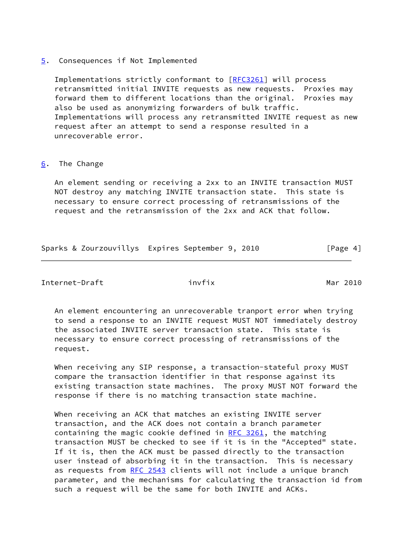## <span id="page-4-0"></span>[5](#page-4-0). Consequences if Not Implemented

 Implementations strictly conformant to [\[RFC3261](https://datatracker.ietf.org/doc/pdf/rfc3261)] will process retransmitted initial INVITE requests as new requests. Proxies may forward them to different locations than the original. Proxies may also be used as anonymizing forwarders of bulk traffic. Implementations will process any retransmitted INVITE request as new request after an attempt to send a response resulted in a unrecoverable error.

# <span id="page-4-1"></span>[6](#page-4-1). The Change

 An element sending or receiving a 2xx to an INVITE transaction MUST NOT destroy any matching INVITE transaction state. This state is necessary to ensure correct processing of retransmissions of the request and the retransmission of the 2xx and ACK that follow.

Sparks & Zourzouvillys Expires September 9, 2010 [Page 4]

<span id="page-4-2"></span>Internet-Draft invfix invfix Mar 2010

 An element encountering an unrecoverable tranport error when trying to send a response to an INVITE request MUST NOT immediately destroy the associated INVITE server transaction state. This state is necessary to ensure correct processing of retransmissions of the request.

When receiving any SIP response, a transaction-stateful proxy MUST compare the transaction identifier in that response against its existing transaction state machines. The proxy MUST NOT forward the response if there is no matching transaction state machine.

 When receiving an ACK that matches an existing INVITE server transaction, and the ACK does not contain a branch parameter containing the magic cookie defined in [RFC 3261,](https://datatracker.ietf.org/doc/pdf/rfc3261) the matching transaction MUST be checked to see if it is in the "Accepted" state. If it is, then the ACK must be passed directly to the transaction user instead of absorbing it in the transaction. This is necessary as requests from [RFC 2543](https://datatracker.ietf.org/doc/pdf/rfc2543) clients will not include a unique branch parameter, and the mechanisms for calculating the transaction id from such a request will be the same for both INVITE and ACKs.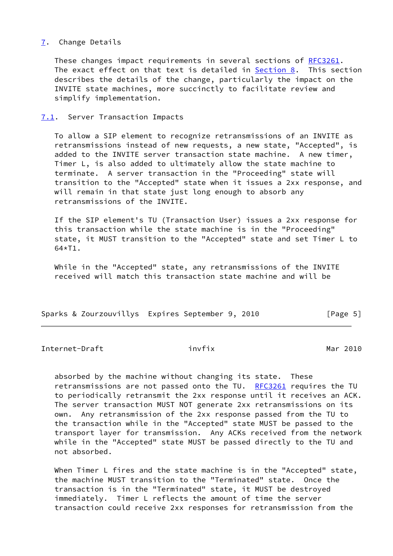# <span id="page-5-0"></span>[7](#page-5-0). Change Details

 These changes impact requirements in several sections of [RFC3261](https://datatracker.ietf.org/doc/pdf/rfc3261). The exact effect on that text is detailed in [Section 8](#page-11-1). This section describes the details of the change, particularly the impact on the INVITE state machines, more succinctly to facilitate review and simplify implementation.

### <span id="page-5-1"></span>[7.1](#page-5-1). Server Transaction Impacts

 To allow a SIP element to recognize retransmissions of an INVITE as retransmissions instead of new requests, a new state, "Accepted", is added to the INVITE server transaction state machine. A new timer, Timer L, is also added to ultimately allow the state machine to terminate. A server transaction in the "Proceeding" state will transition to the "Accepted" state when it issues a 2xx response, and will remain in that state just long enough to absorb any retransmissions of the INVITE.

 If the SIP element's TU (Transaction User) issues a 2xx response for this transaction while the state machine is in the "Proceeding" state, it MUST transition to the "Accepted" state and set Timer L to  $64*T1$ .

 While in the "Accepted" state, any retransmissions of the INVITE received will match this transaction state machine and will be

|  | Sparks & Zourzouvillys Expires September 9, 2010 |  |  | [Page 5] |  |
|--|--------------------------------------------------|--|--|----------|--|
|  |                                                  |  |  |          |  |

Internet-Draft invfix invfix Mar 2010

 absorbed by the machine without changing its state. These retransmissions are not passed onto the TU. [RFC3261](https://datatracker.ietf.org/doc/pdf/rfc3261) requires the TU to periodically retransmit the 2xx response until it receives an ACK. The server transaction MUST NOT generate 2xx retransmissions on its own. Any retransmission of the 2xx response passed from the TU to the transaction while in the "Accepted" state MUST be passed to the transport layer for transmission. Any ACKs received from the network while in the "Accepted" state MUST be passed directly to the TU and not absorbed.

When Timer L fires and the state machine is in the "Accepted" state, the machine MUST transition to the "Terminated" state. Once the transaction is in the "Terminated" state, it MUST be destroyed immediately. Timer L reflects the amount of time the server transaction could receive 2xx responses for retransmission from the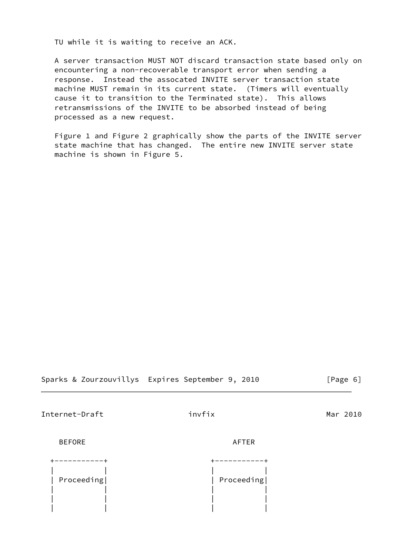TU while it is waiting to receive an ACK.

 A server transaction MUST NOT discard transaction state based only on encountering a non-recoverable transport error when sending a response. Instead the assocated INVITE server transaction state machine MUST remain in its current state. (Timers will eventually cause it to transition to the Terminated state). This allows retransmissions of the INVITE to be absorbed instead of being processed as a new request.

 Figure 1 and Figure 2 graphically show the parts of the INVITE server state machine that has changed. The entire new INVITE server state machine is shown in Figure 5.

|  |  |  | Sparks & Zourzouvillys Expires September 9, 2010 |  |  |  |  |  |  |  |
|--|--|--|--------------------------------------------------|--|--|--|--|--|--|--|
|--|--|--|--------------------------------------------------|--|--|--|--|--|--|--|

 $[Page 6]$ 

Internet-Draft invfix invfix Mar 2010

BEFORE AFTER

| Proceeding | Proceeding |
|------------|------------|
|            |            |
|            |            |
|            |            |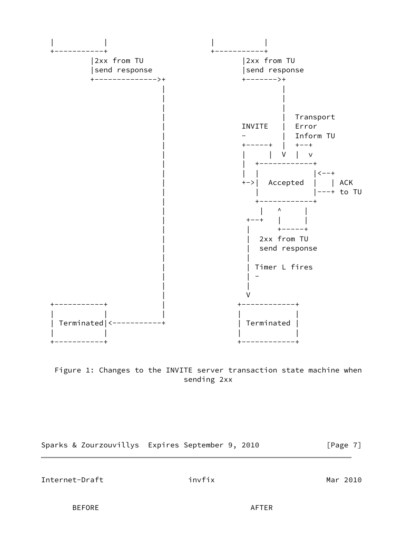



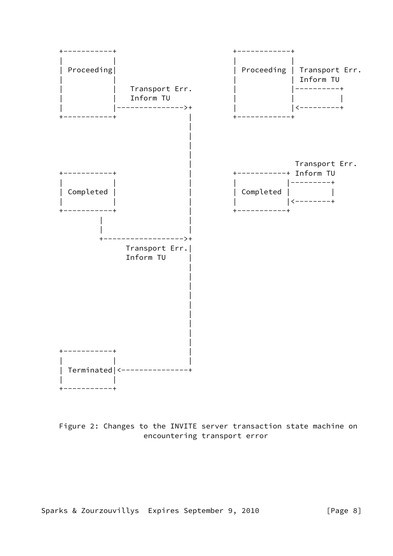

 Figure 2: Changes to the INVITE server transaction state machine on encountering transport error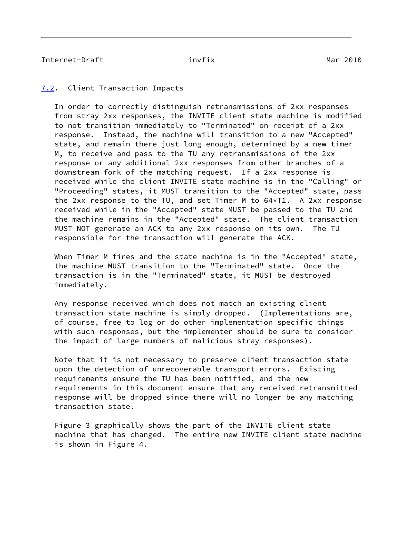# <span id="page-9-1"></span><span id="page-9-0"></span>[7.2](#page-9-0). Client Transaction Impacts

 In order to correctly distinguish retransmissions of 2xx responses from stray 2xx responses, the INVITE client state machine is modified to not transition immediately to "Terminated" on receipt of a 2xx response. Instead, the machine will transition to a new "Accepted" state, and remain there just long enough, determined by a new timer M, to receive and pass to the TU any retransmissions of the 2xx response or any additional 2xx responses from other branches of a downstream fork of the matching request. If a 2xx response is received while the client INVITE state machine is in the "Calling" or "Proceeding" states, it MUST transition to the "Accepted" state, pass the 2xx response to the TU, and set Timer M to 64\*T1. A 2xx response received while in the "Accepted" state MUST be passed to the TU and the machine remains in the "Accepted" state. The client transaction MUST NOT generate an ACK to any 2xx response on its own. The TU responsible for the transaction will generate the ACK.

 When Timer M fires and the state machine is in the "Accepted" state, the machine MUST transition to the "Terminated" state. Once the transaction is in the "Terminated" state, it MUST be destroyed immediately.

 Any response received which does not match an existing client transaction state machine is simply dropped. (Implementations are, of course, free to log or do other implementation specific things with such responses, but the implementer should be sure to consider the impact of large numbers of malicious stray responses).

 Note that it is not necessary to preserve client transaction state upon the detection of unrecoverable transport errors. Existing requirements ensure the TU has been notified, and the new requirements in this document ensure that any received retransmitted response will be dropped since there will no longer be any matching transaction state.

 Figure 3 graphically shows the part of the INVITE client state machine that has changed. The entire new INVITE client state machine is shown in Figure 4.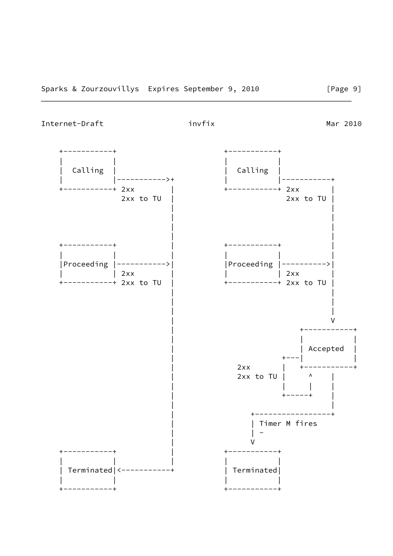<span id="page-10-0"></span>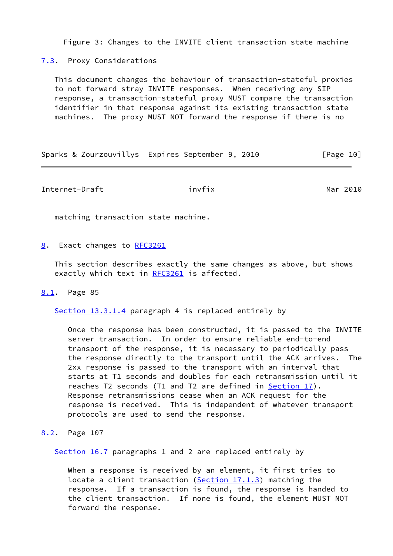Figure 3: Changes to the INVITE client transaction state machine

<span id="page-11-0"></span>[7.3](#page-11-0). Proxy Considerations

 This document changes the behaviour of transaction-stateful proxies to not forward stray INVITE responses. When receiving any SIP response, a transaction-stateful proxy MUST compare the transaction identifier in that response against its existing transaction state machines. The proxy MUST NOT forward the response if there is no

Sparks & Zourzouvillys Expires September 9, 2010 [Page 10]

<span id="page-11-2"></span>Internet-Draft invfix invfix Mar 2010

matching transaction state machine.

<span id="page-11-1"></span>[8](#page-11-1). Exact changes to [RFC3261](https://datatracker.ietf.org/doc/pdf/rfc3261)

 This section describes exactly the same changes as above, but shows exactly which text in [RFC3261](https://datatracker.ietf.org/doc/pdf/rfc3261) is affected.

#### <span id="page-11-3"></span>[8.1](#page-11-3). Page 85

Section 13.3.1.4 paragraph 4 is replaced entirely by

 Once the response has been constructed, it is passed to the INVITE server transaction. In order to ensure reliable end-to-end transport of the response, it is necessary to periodically pass the response directly to the transport until the ACK arrives. The 2xx response is passed to the transport with an interval that starts at T1 seconds and doubles for each retransmission until it reaches T2 seconds (T1 and T2 are defined in **Section 17**). Response retransmissions cease when an ACK request for the response is received. This is independent of whatever transport protocols are used to send the response.

# <span id="page-11-4"></span>[8.2](#page-11-4). Page 107

Section 16.7 paragraphs 1 and 2 are replaced entirely by

 When a response is received by an element, it first tries to locate a client transaction (Section 17.1.3) matching the response. If a transaction is found, the response is handed to the client transaction. If none is found, the element MUST NOT forward the response.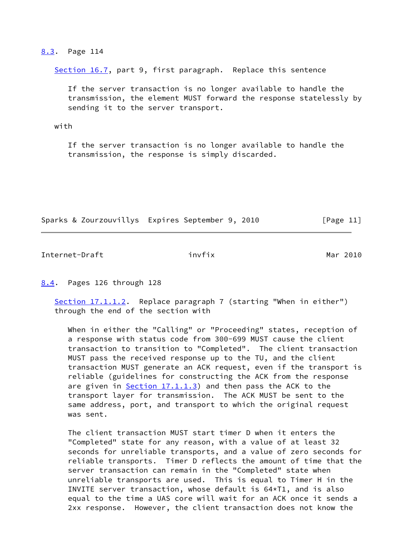#### <span id="page-12-0"></span>[8.3](#page-12-0). Page 114

Section 16.7, part 9, first paragraph. Replace this sentence

 If the server transaction is no longer available to handle the transmission, the element MUST forward the response statelessly by sending it to the server transport.

with

 If the server transaction is no longer available to handle the transmission, the response is simply discarded.

Sparks & Zourzouvillys Expires September 9, 2010 [Page 11]

<span id="page-12-2"></span>Internet-Draft invfix invfix Mar 2010

<span id="page-12-1"></span>[8.4](#page-12-1). Pages 126 through 128

Section 17.1.1.2. Replace paragraph 7 (starting "When in either") through the end of the section with

 When in either the "Calling" or "Proceeding" states, reception of a response with status code from 300-699 MUST cause the client transaction to transition to "Completed". The client transaction MUST pass the received response up to the TU, and the client transaction MUST generate an ACK request, even if the transport is reliable (guidelines for constructing the ACK from the response are given in Section 17.1.1.3) and then pass the ACK to the transport layer for transmission. The ACK MUST be sent to the same address, port, and transport to which the original request was sent.

 The client transaction MUST start timer D when it enters the "Completed" state for any reason, with a value of at least 32 seconds for unreliable transports, and a value of zero seconds for reliable transports. Timer D reflects the amount of time that the server transaction can remain in the "Completed" state when unreliable transports are used. This is equal to Timer H in the INVITE server transaction, whose default is 64\*T1, and is also equal to the time a UAS core will wait for an ACK once it sends a 2xx response. However, the client transaction does not know the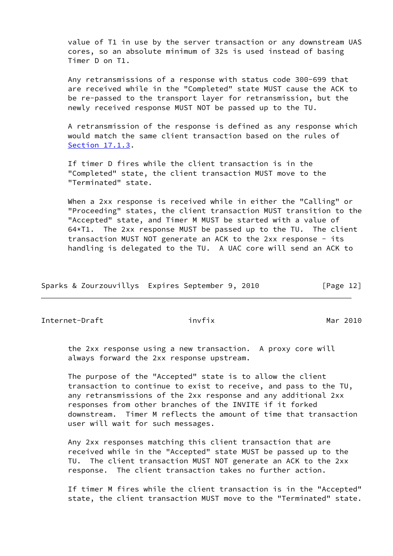value of T1 in use by the server transaction or any downstream UAS cores, so an absolute minimum of 32s is used instead of basing Timer D on T1.

 Any retransmissions of a response with status code 300-699 that are received while in the "Completed" state MUST cause the ACK to be re-passed to the transport layer for retransmission, but the newly received response MUST NOT be passed up to the TU.

 A retransmission of the response is defined as any response which would match the same client transaction based on the rules of Section 17.1.3.

 If timer D fires while the client transaction is in the "Completed" state, the client transaction MUST move to the "Terminated" state.

 When a 2xx response is received while in either the "Calling" or "Proceeding" states, the client transaction MUST transition to the "Accepted" state, and Timer M MUST be started with a value of 64\*T1. The 2xx response MUST be passed up to the TU. The client transaction MUST NOT generate an ACK to the 2xx response - its handling is delegated to the TU. A UAC core will send an ACK to

|  |  |  | Sparks & Zourzouvillys Expires September 9, 2010 |  |  |  |  |  | [Page 12] |  |
|--|--|--|--------------------------------------------------|--|--|--|--|--|-----------|--|
|--|--|--|--------------------------------------------------|--|--|--|--|--|-----------|--|

Internet-Draft invfix invfix Mar 2010

 the 2xx response using a new transaction. A proxy core will always forward the 2xx response upstream.

 The purpose of the "Accepted" state is to allow the client transaction to continue to exist to receive, and pass to the TU, any retransmissions of the 2xx response and any additional 2xx responses from other branches of the INVITE if it forked downstream. Timer M reflects the amount of time that transaction user will wait for such messages.

 Any 2xx responses matching this client transaction that are received while in the "Accepted" state MUST be passed up to the TU. The client transaction MUST NOT generate an ACK to the 2xx response. The client transaction takes no further action.

 If timer M fires while the client transaction is in the "Accepted" state, the client transaction MUST move to the "Terminated" state.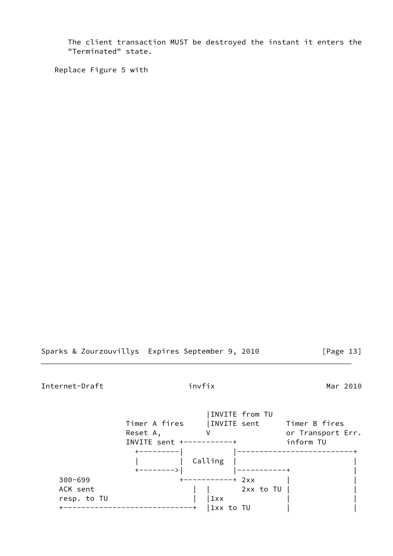The client transaction MUST be destroyed the instant it enters the "Terminated" state.

Replace Figure 5 with

Sparks & Zourzouvillys Expires September 9, 2010 [Page 13]

Internet-Draft invfix invfix Mar 2010

|             |               |                  | INVITE from TU |                   |
|-------------|---------------|------------------|----------------|-------------------|
|             | Timer A fires |                  | INVITE sent    | Timer B fires     |
|             | Reset A,      |                  |                | or Transport Err. |
|             | INVITE sent + |                  |                | inform TU         |
|             |               |                  |                |                   |
|             |               | Calling          |                |                   |
|             |               |                  |                |                   |
| $300 - 699$ |               | -----------+ 2xx |                |                   |
| ACK sent    |               |                  | 2xx to TU      |                   |
| resp. to TU |               | 1xx              |                |                   |
|             |               | 1xx to TU        |                |                   |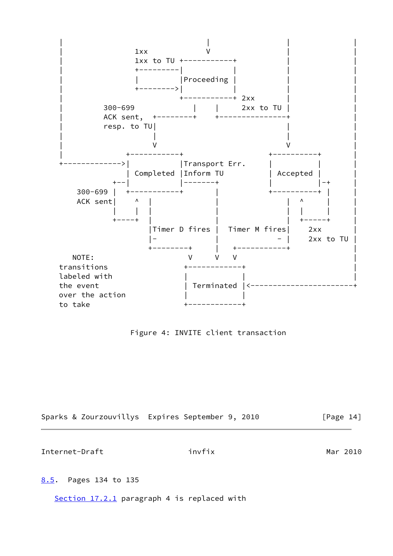

Figure 4: INVITE client transaction

<span id="page-15-1"></span>

|  | Sparks & Zourzouvillys Expires September 9, 2010 |  |  | [Page 14] |
|--|--------------------------------------------------|--|--|-----------|
|--|--------------------------------------------------|--|--|-----------|

<span id="page-15-0"></span>[8.5](#page-15-0). Pages 134 to 135

Section 17.2.1 paragraph 4 is replaced with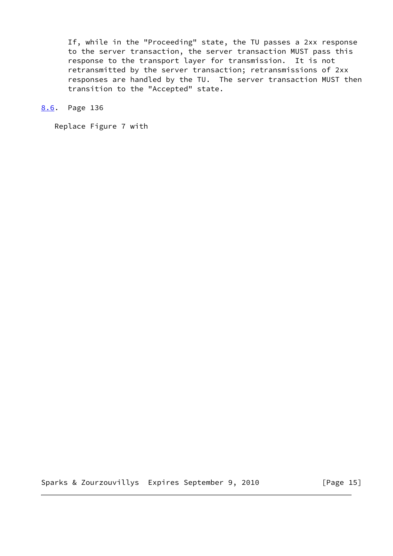If, while in the "Proceeding" state, the TU passes a 2xx response to the server transaction, the server transaction MUST pass this response to the transport layer for transmission. It is not retransmitted by the server transaction; retransmissions of 2xx responses are handled by the TU. The server transaction MUST then transition to the "Accepted" state.

<span id="page-16-0"></span>[8.6](#page-16-0). Page 136

Replace Figure 7 with

Sparks & Zourzouvillys Expires September 9, 2010 [Page 15]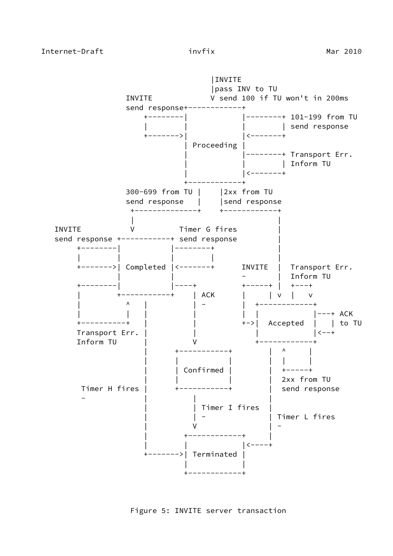

Figure 5: INVITE server transaction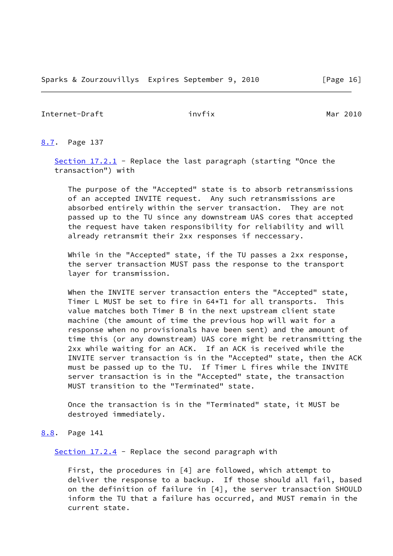<span id="page-18-1"></span><span id="page-18-0"></span>[8.7](#page-18-0). Page 137

Section 17.2.1 - Replace the last paragraph (starting "Once the transaction") with

 The purpose of the "Accepted" state is to absorb retransmissions of an accepted INVITE request. Any such retransmissions are absorbed entirely within the server transaction. They are not passed up to the TU since any downstream UAS cores that accepted the request have taken responsibility for reliability and will already retransmit their 2xx responses if neccessary.

 While in the "Accepted" state, if the TU passes a 2xx response, the server transaction MUST pass the response to the transport layer for transmission.

 When the INVITE server transaction enters the "Accepted" state, Timer L MUST be set to fire in 64\*T1 for all transports. This value matches both Timer B in the next upstream client state machine (the amount of time the previous hop will wait for a response when no provisionals have been sent) and the amount of time this (or any downstream) UAS core might be retransmitting the 2xx while waiting for an ACK. If an ACK is received while the INVITE server transaction is in the "Accepted" state, then the ACK must be passed up to the TU. If Timer L fires while the INVITE server transaction is in the "Accepted" state, the transaction MUST transition to the "Terminated" state.

 Once the transaction is in the "Terminated" state, it MUST be destroyed immediately.

# <span id="page-18-2"></span>[8.8](#page-18-2). Page 141

Section  $17.2.4$  - Replace the second paragraph with

 First, the procedures in [4] are followed, which attempt to deliver the response to a backup. If those should all fail, based on the definition of failure in [4], the server transaction SHOULD inform the TU that a failure has occurred, and MUST remain in the current state.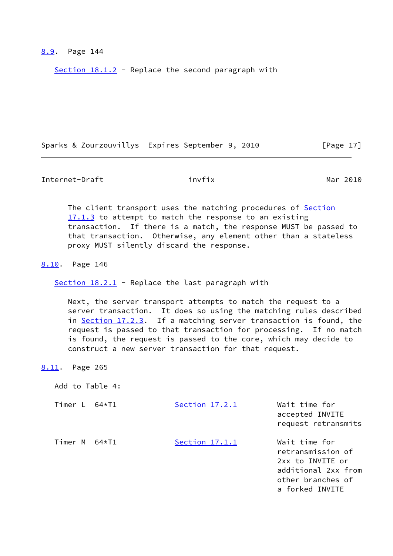# <span id="page-19-0"></span>[8.9](#page-19-0). Page 144

Section  $18.1.2$  - Replace the second paragraph with

Sparks & Zourzouvillys Expires September 9, 2010 [Page 17]

<span id="page-19-2"></span>Internet-Draft invfix invfix Mar 2010

The client transport uses the matching procedures of Section 17.1.3 to attempt to match the response to an existing transaction. If there is a match, the response MUST be passed to that transaction. Otherwise, any element other than a stateless proxy MUST silently discard the response.

<span id="page-19-1"></span>[8.10](#page-19-1). Page 146

Section  $18.2.1$  - Replace the last paragraph with

 Next, the server transport attempts to match the request to a server transaction. It does so using the matching rules described in Section 17.2.3. If a matching server transaction is found, the request is passed to that transaction for processing. If no match is found, the request is passed to the core, which may decide to construct a new server transaction for that request.

<span id="page-19-3"></span>[8.11](#page-19-3). Page 265

Add to Table 4:

Timer L 64\*T1 Section 17.2.1 Wait time for accepted INVITE request retransmits Timer M 64\*T1 Section 17.1.1 Wait time for retransmission of 2xx to INVITE or additional 2xx from other branches of a forked INVITE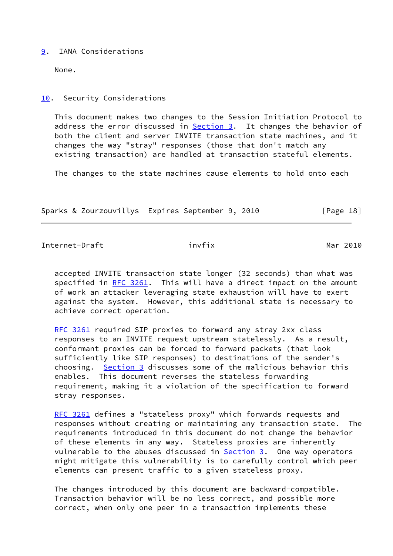## <span id="page-20-0"></span>[9](#page-20-0). IANA Considerations

None.

# <span id="page-20-1"></span>[10.](#page-20-1) Security Considerations

 This document makes two changes to the Session Initiation Protocol to address the error discussed in [Section 3.](#page-2-3) It changes the behavior of both the client and server INVITE transaction state machines, and it changes the way "stray" responses (those that don't match any existing transaction) are handled at transaction stateful elements.

The changes to the state machines cause elements to hold onto each

Sparks & Zourzouvillys Expires September 9, 2010 [Page 18]

<span id="page-20-2"></span>Internet-Draft invfix invfix Mar 2010

 accepted INVITE transaction state longer (32 seconds) than what was specified in [RFC 3261](https://datatracker.ietf.org/doc/pdf/rfc3261). This will have a direct impact on the amount of work an attacker leveraging state exhaustion will have to exert against the system. However, this additional state is necessary to achieve correct operation.

[RFC 3261](https://datatracker.ietf.org/doc/pdf/rfc3261) required SIP proxies to forward any stray 2xx class responses to an INVITE request upstream statelessly. As a result, conformant proxies can be forced to forward packets (that look sufficiently like SIP responses) to destinations of the sender's choosing. [Section 3](#page-2-3) discusses some of the malicious behavior this enables. This document reverses the stateless forwarding requirement, making it a violation of the specification to forward stray responses.

[RFC 3261](https://datatracker.ietf.org/doc/pdf/rfc3261) defines a "stateless proxy" which forwards requests and responses without creating or maintaining any transaction state. The requirements introduced in this document do not change the behavior of these elements in any way. Stateless proxies are inherently vulnerable to the abuses discussed in **Section 3.** One way operators might mitigate this vulnerability is to carefully control which peer elements can present traffic to a given stateless proxy.

 The changes introduced by this document are backward-compatible. Transaction behavior will be no less correct, and possible more correct, when only one peer in a transaction implements these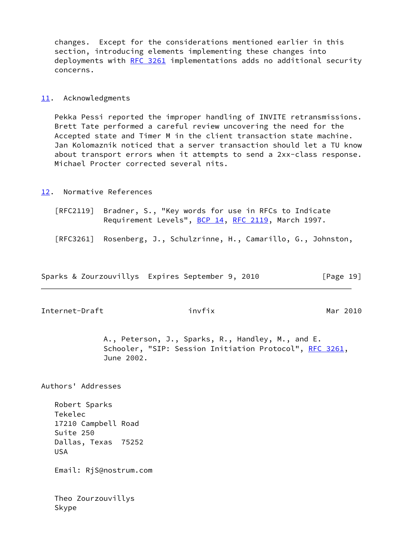changes. Except for the considerations mentioned earlier in this section, introducing elements implementing these changes into deployments with [RFC 3261](https://datatracker.ietf.org/doc/pdf/rfc3261) implementations adds no additional security concerns.

## <span id="page-21-0"></span>[11.](#page-21-0) Acknowledgments

 Pekka Pessi reported the improper handling of INVITE retransmissions. Brett Tate performed a careful review uncovering the need for the Accepted state and Timer M in the client transaction state machine. Jan Kolomaznik noticed that a server transaction should let a TU know about transport errors when it attempts to send a 2xx-class response. Michael Procter corrected several nits.

#### <span id="page-21-1"></span>[12.](#page-21-1) Normative References

- [RFC2119] Bradner, S., "Key words for use in RFCs to Indicate Requirement Levels", [BCP 14](https://datatracker.ietf.org/doc/pdf/bcp14), [RFC 2119](https://datatracker.ietf.org/doc/pdf/rfc2119), March 1997.
- [RFC3261] Rosenberg, J., Schulzrinne, H., Camarillo, G., Johnston,

Sparks & Zourzouvillys Expires September 9, 2010 [Page 19]

<span id="page-21-2"></span>Internet-Draft invfix invfix Mar 2010

 A., Peterson, J., Sparks, R., Handley, M., and E. Schooler, "SIP: Session Initiation Protocol", [RFC 3261](https://datatracker.ietf.org/doc/pdf/rfc3261), June 2002.

Authors' Addresses

 Robert Sparks Tekelec 17210 Campbell Road Suite 250 Dallas, Texas 75252 USA

Email: RjS@nostrum.com

 Theo Zourzouvillys Skype